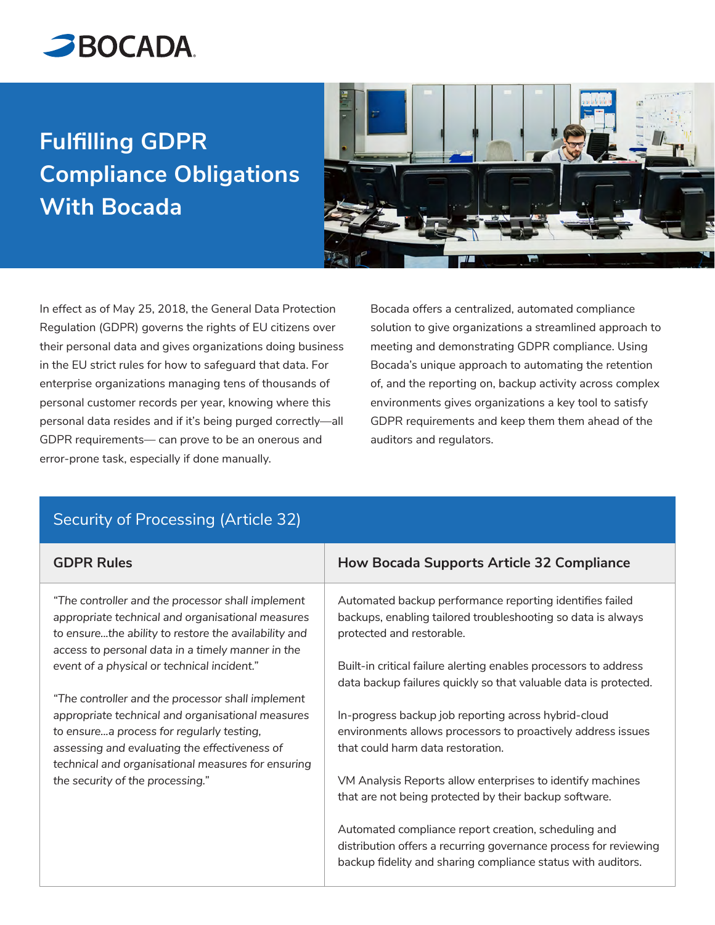

## **Fulfilling GDPR Compliance Obligations With Bocada**



In effect as of May 25, 2018, the General Data Protection Regulation (GDPR) governs the rights of EU citizens over their personal data and gives organizations doing business in the EU strict rules for how to safeguard that data. For enterprise organizations managing tens of thousands of personal customer records per year, knowing where this personal data resides and if it's being purged correctly—all GDPR requirements— can prove to be an onerous and error-prone task, especially if done manually.

Bocada offers a centralized, automated compliance solution to give organizations a streamlined approach to meeting and demonstrating GDPR compliance. Using Bocada's unique approach to automating the retention of, and the reporting on, backup activity across complex environments gives organizations a key tool to satisfy GDPR requirements and keep them them ahead of the auditors and regulators.

| <b>GDPR Rules</b>                                                                                                                                                                                                                                          | <b>How Bocada Supports Article 32 Compliance</b>                                                                                                                                         |
|------------------------------------------------------------------------------------------------------------------------------------------------------------------------------------------------------------------------------------------------------------|------------------------------------------------------------------------------------------------------------------------------------------------------------------------------------------|
| "The controller and the processor shall implement<br>appropriate technical and organisational measures<br>to ensurethe ability to restore the availability and<br>access to personal data in a timely manner in the                                        | Automated backup performance reporting identifies failed<br>backups, enabling tailored troubleshooting so data is always<br>protected and restorable.                                    |
| event of a physical or technical incident."                                                                                                                                                                                                                | Built-in critical failure alerting enables processors to address<br>data backup failures quickly so that valuable data is protected.                                                     |
| "The controller and the processor shall implement<br>appropriate technical and organisational measures<br>to ensurea process for regularly testing,<br>assessing and evaluating the effectiveness of<br>technical and organisational measures for ensuring | In-progress backup job reporting across hybrid-cloud<br>environments allows processors to proactively address issues<br>that could harm data restoration.                                |
| the security of the processing."                                                                                                                                                                                                                           | VM Analysis Reports allow enterprises to identify machines<br>that are not being protected by their backup software.                                                                     |
|                                                                                                                                                                                                                                                            | Automated compliance report creation, scheduling and<br>distribution offers a recurring governance process for reviewing<br>backup fidelity and sharing compliance status with auditors. |